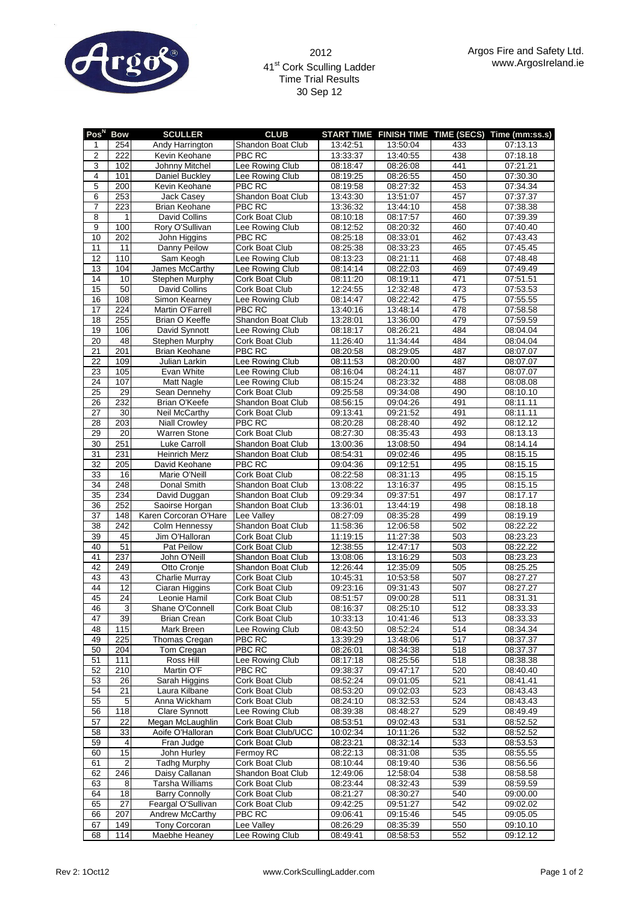

## 41<sup>st</sup> Cork Sculling Ladder Time Trial Results 30 Sep 12

| Pos <sup>N</sup> | <b>Bow</b>              | <b>SCULLER</b>        | <b>CLUB</b>           |          |          |     | START TIME FINISH TIME TIME (SECS) Time (mm:ss.s) |
|------------------|-------------------------|-----------------------|-----------------------|----------|----------|-----|---------------------------------------------------|
| 1                | 254                     | Andy Harrington       | Shandon Boat Club     | 13:42:51 | 13:50:04 | 433 | 07:13.13                                          |
| $\overline{2}$   | 222                     | Kevin Keohane         | PBC RC                | 13:33:37 | 13:40:55 | 438 | 07:18.18                                          |
|                  |                         |                       | Lee Rowing Club       |          |          | 441 |                                                   |
| 3                | 102                     | Johnny Mitchel        |                       | 08:18:47 | 08:26:08 |     | 07:21.21                                          |
| $\overline{4}$   | 101                     | Daniel Buckley        | Lee Rowing Club       | 08:19:25 | 08:26:55 | 450 | 07:30.30                                          |
| 5                | 200                     | Kevin Keohane         | PBC RC                | 08:19:58 | 08:27:32 | 453 | 07:34.34                                          |
| 6                | 253                     | <b>Jack Casey</b>     | Shandon Boat Club     | 13:43:30 | 13:51:07 | 457 | 07:37.37                                          |
| $\overline{7}$   | 223                     | <b>Brian Keohane</b>  | PBC RC                | 13:36:32 | 13:44:10 | 458 | 07:38.38                                          |
| 8                | 1                       | David Collins         | Cork Boat Club        | 08:10:18 | 08:17:57 | 460 | 07:39.39                                          |
| 9                | 100                     | Rory O'Sullivan       | Lee Rowing Club       | 08:12:52 | 08:20:32 | 460 | 07:40.40                                          |
| 10               | 202                     | John Higgins          | PBC RC                | 08:25:18 | 08:33:01 | 462 | 07:43.43                                          |
| 11               | 11                      | <b>Danny Peilow</b>   | Cork Boat Club        | 08:25:38 | 08:33:23 | 465 | 07:45.45                                          |
| 12               | 110                     | Sam Keogh             | Lee Rowing Club       | 08:13:23 | 08:21:11 | 468 | 07:48.48                                          |
| 13               | 104                     | James McCarthy        | Lee Rowing Club       | 08:14:14 | 08:22:03 | 469 | 07:49.49                                          |
| 14               | 10                      | Stephen Murphy        | Cork Boat Club        | 08:11:20 | 08:19:11 | 471 | 07:51.51                                          |
| 15               | 50                      | David Collins         | Cork Boat Club        | 12:24:55 | 12:32:48 | 473 | 07:53.53                                          |
| 16               | 108                     | Simon Kearney         | Lee Rowing Club       | 08:14:47 | 08:22:42 | 475 | 07:55.55                                          |
| 17               | 224                     | Martin O'Farrell      | PBC RC                | 13:40:16 | 13:48:14 | 478 | 07:58.58                                          |
| 18               | 255                     | Brian O Keeffe        | Shandon Boat Club     | 13:28:01 | 13:36:00 | 479 | 07:59.59                                          |
| 19               | 106                     | David Synnott         | Lee Rowing Club       | 08:18:17 | 08:26:21 | 484 | 08:04.04                                          |
|                  |                         |                       |                       |          |          |     |                                                   |
| 20               | 48                      | <b>Stephen Murphy</b> | Cork Boat Club        | 11:26:40 | 11:34:44 | 484 | 08:04.04                                          |
| 21               | 201                     | <b>Brian Keohane</b>  | <b>PBC RC</b>         | 08:20:58 | 08:29:05 | 487 | 08:07.07                                          |
| 22               | 109                     | Julian Larkin         | Lee Rowing Club       | 08:11:53 | 08:20:00 | 487 | 08:07.07                                          |
| 23               | 105                     | Evan White            | Lee Rowing Club       | 08:16:04 | 08:24:11 | 487 | 08:07.07                                          |
| 24               | 107                     | Matt Nagle            | Lee Rowing Club       | 08:15:24 | 08:23:32 | 488 | 08:08.08                                          |
| 25               | 29                      | Sean Dennehy          | Cork Boat Club        | 09:25:58 | 09:34:08 | 490 | 08:10.10                                          |
| 26               | 232                     | Brian O'Keefe         | Shandon Boat Club     | 08:56:15 | 09:04:26 | 491 | 08:11.11                                          |
| 27               | 30                      | <b>Neil McCarthy</b>  | Cork Boat Club        | 09:13:41 | 09:21:52 | 491 | 08:11.11                                          |
| 28               | 203                     | <b>Niall Crowley</b>  | PBC RC                | 08:20:28 | 08:28:40 | 492 | 08:12.12                                          |
| 29               | 20                      | <b>Warren Stone</b>   | Cork Boat Club        | 08:27:30 | 08:35:43 | 493 | 08:13.13                                          |
| 30               | 251                     | Luke Carroll          | Shandon Boat Club     | 13:00:36 | 13:08:50 | 494 | 08:14.14                                          |
| 31               | 231                     | <b>Heinrich Merz</b>  | Shandon Boat Club     | 08:54:31 | 09:02:46 | 495 | 08:15.15                                          |
| 32               | 205                     | David Keohane         | PBC RC                | 09:04:36 | 09:12:51 | 495 | 08:15.15                                          |
| 33               | 16                      | Marie O'Neill         | <b>Cork Boat Club</b> | 08:22:58 | 08:31:13 | 495 | 08:15.15                                          |
| 34               | 248                     | Donal Smith           | Shandon Boat Club     | 13:08:22 | 13:16:37 | 495 | 08:15.15                                          |
| 35               | 234                     | David Duggan          | Shandon Boat Club     | 09:29:34 | 09:37:51 | 497 | 08:17.17                                          |
| 36               | 252                     | Saoirse Horgan        | Shandon Boat Club     | 13:36:01 | 13:44:19 | 498 | 08:18.18                                          |
| 37               | 148                     | Karen Corcoran O'Hare | Lee Valley            | 08:27:09 | 08:35:28 | 499 | 08:19.19                                          |
| 38               | 242                     | Colm Hennessy         | Shandon Boat Club     | 11:58:36 | 12:06:58 | 502 | 08:22.22                                          |
| 39               | 45                      | Jim O'Halloran        | Cork Boat Club        | 11:19:15 | 11:27:38 | 503 | 08:23.23                                          |
| 40               |                         | Pat Peilow            | Cork Boat Club        |          |          |     |                                                   |
|                  | 51                      |                       |                       | 12:38:55 | 12:47:17 | 503 | 08:22.22                                          |
| 41               | 237                     | John O'Neill          | Shandon Boat Club     | 13:08:06 | 13:16:29 | 503 | 08:23.23                                          |
| 42               | 249                     | Otto Cronje           | Shandon Boat Club     | 12:26:44 | 12:35:09 | 505 | 08:25.25                                          |
| 43               | 43                      | Charlie Murray        | Cork Boat Club        | 10:45:31 | 10:53:58 | 507 | 08:27.27                                          |
| 44               | $\overline{12}$         | Ciaran Higgins        | Cork Boat Club        | 09:23:16 | 09:31:43 | 507 | 08:27.27                                          |
| 45               | 24                      | Leonie Hamil          | Cork Boat Club        | 08:51:57 | 09:00:28 | 511 | 08:31.31                                          |
| 46               | $\overline{3}$          | Shane O'Connell       | Cork Boat Club        | 08:16:37 | 08:25:10 | 512 | 08:33.33                                          |
| 47               | 39                      | <b>Brian Crean</b>    | Cork Boat Club        | 10:33:13 | 10:41:46 | 513 | 08:33.33                                          |
| 48               | 115                     | Mark Breen            | Lee Rowing Club       | 08:43:50 | 08:52:24 | 514 | 08:34.34                                          |
| 49               | 225                     | Thomas Cregan         | PBC RC                | 13:39:29 | 13:48:06 | 517 | 08:37.37                                          |
| 50               | 204                     | Tom Cregan            | <b>PBC RC</b>         | 08:26:01 | 08:34:38 | 518 | 08:37.37                                          |
| 51               | 111                     | Ross Hill             | Lee Rowing Club       | 08:17:18 | 08:25:56 | 518 | 08:38.38                                          |
| 52               | 210                     | Martin O'F            | PBC RC                | 09:38:37 | 09:47:17 | 520 | 08:40.40                                          |
| 53               | 26                      | Sarah Higgins         | Cork Boat Club        | 08:52:24 | 09:01:05 | 521 | 08:41.41                                          |
| 54               | 21                      | Laura Kilbane         | Cork Boat Club        | 08:53:20 | 09:02:03 | 523 | 08:43.43                                          |
| 55               | 5                       | Anna Wickham          | Cork Boat Club        | 08:24:10 | 08:32:53 | 524 | 08:43.43                                          |
| 56               | 118                     | Clare Synnott         | Lee Rowing Club       | 08:39:38 | 08:48:27 | 529 | 08:49.49                                          |
| 57               | 22                      | Megan McLaughlin      | Cork Boat Club        | 08:53:51 | 09:02:43 | 531 | 08:52.52                                          |
|                  |                         |                       |                       |          |          |     |                                                   |
| 58               | 33                      | Aoife O'Halloran      | Cork Boat Club/UCC    | 10:02:34 | 10:11:26 | 532 | 08:52.52                                          |
| 59               | $\overline{\mathbf{4}}$ | Fran Judge            | Cork Boat Club        | 08:23:21 | 08:32:14 | 533 | 08:53.53                                          |
| 60               | 15                      | John Hurley           | Fermoy RC             | 08:22:13 | 08:31:08 | 535 | 08:55.55                                          |
| 61               | $\overline{2}$          | Tadhg Murphy          | Cork Boat Club        | 08:10:44 | 08:19:40 | 536 | 08:56.56                                          |
| 62               | 246                     | Daisy Callanan        | Shandon Boat Club     | 12:49:06 | 12:58:04 | 538 | 08:58.58                                          |
| 63               | 8                       | Tarsha Williams       | Cork Boat Club        | 08:23:44 | 08:32:43 | 539 | 08:59.59                                          |
| 64               | 18                      | <b>Barry Connolly</b> | Cork Boat Club        | 08:21:27 | 08:30:27 | 540 | 09:00.00                                          |
| 65               | 27                      | Feargal O'Sullivan    | Cork Boat Club        | 09:42:25 | 09:51:27 | 542 | 09:02.02                                          |
| 66               | 207                     | Andrew McCarthy       | PBC RC                | 09:06:41 | 09:15:46 | 545 | 09:05.05                                          |
| 67               | 149                     | Tony Corcoran         | Lee Valley            | 08:26:29 | 08:35:39 | 550 | 09:10.10                                          |
| 68               | 114                     | Maebhe Heaney         | Lee Rowing Club       | 08:49:41 | 08:58:53 | 552 | 09:12.12                                          |